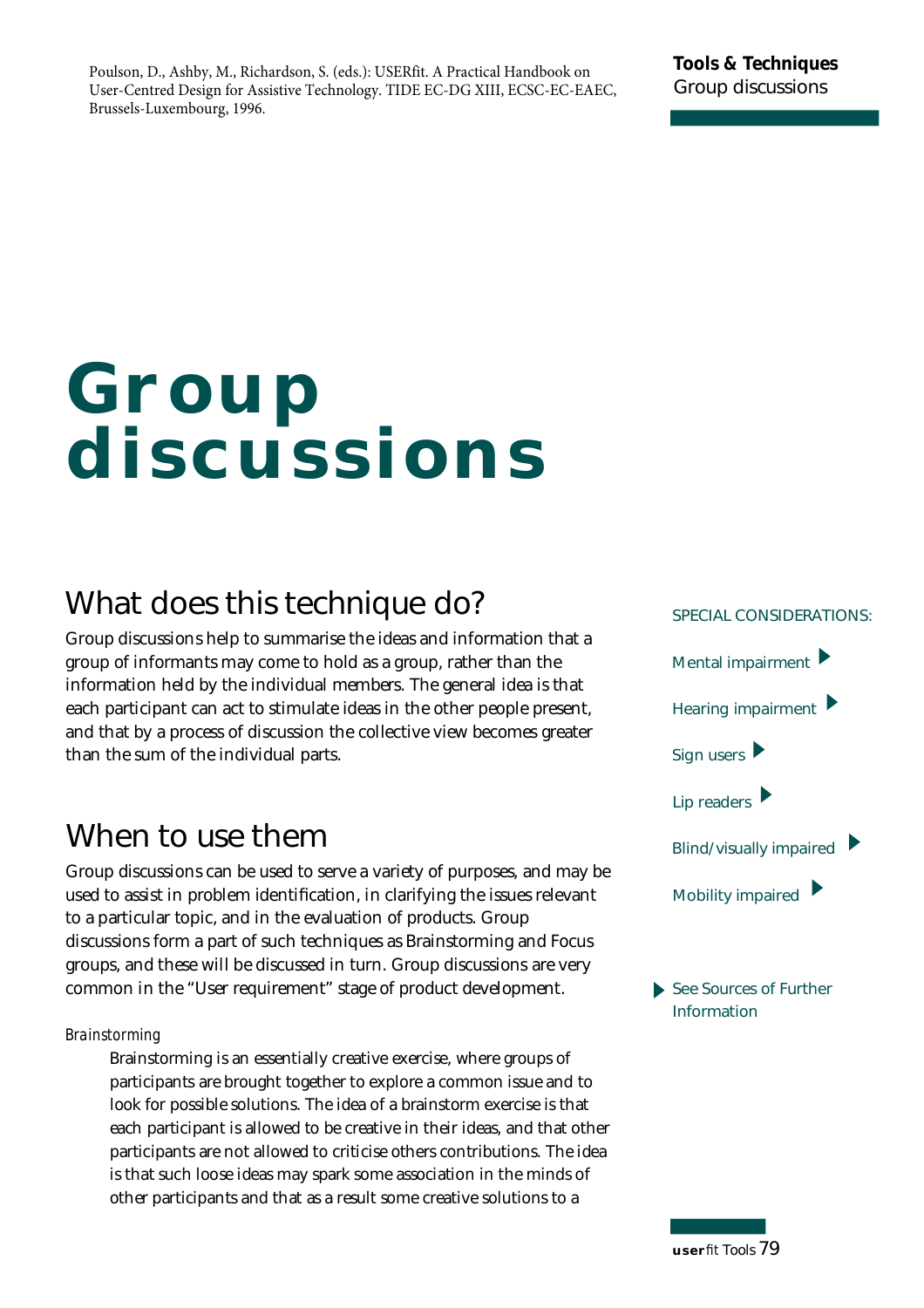Poulson, D., Ashby, M., Richardson, S. (eds.): USERfit. A Practical Handbook on User-Centred Design for Assistive Technology. TIDE EC-DG XIII, ECSC-EC-EAEC, Brussels-Luxembourg, 1996.

# **Group discussions**

### **What does this technique do?**

Group discussions help to summarise the ideas and information that a group of informants may come to hold as a group, rather than the information held by the individual members. The general idea is that each participant can act to stimulate ideas in the other people present, and that by a process of discussion the collective view becomes greater than the sum of the individual parts.

### **When to use them**

Group discussions can be used to serve a variety of purposes, and may be used to assist in problem identification, in clarifying the issues relevant to a particular topic, and in the evaluation of products. Group discussions form a part of such techniques as Brainstorming and Focus groups, and these will be discussed in turn. Group discussions are very common in the "User requirement" stage of product development.

#### *Brainstorming*

Brainstorming is an essentially creative exercise, where groups of participants are brought together to explore a common issue and to look for possible solutions. The idea of a brainstorm exercise is that each participant is allowed to be creative in their ideas, and that other participants are not allowed to criticise others contributions. The idea is that such loose ideas may spark some association in the minds of other participants and that as a result some creative solutions to a



**See Sources of Further Information** 

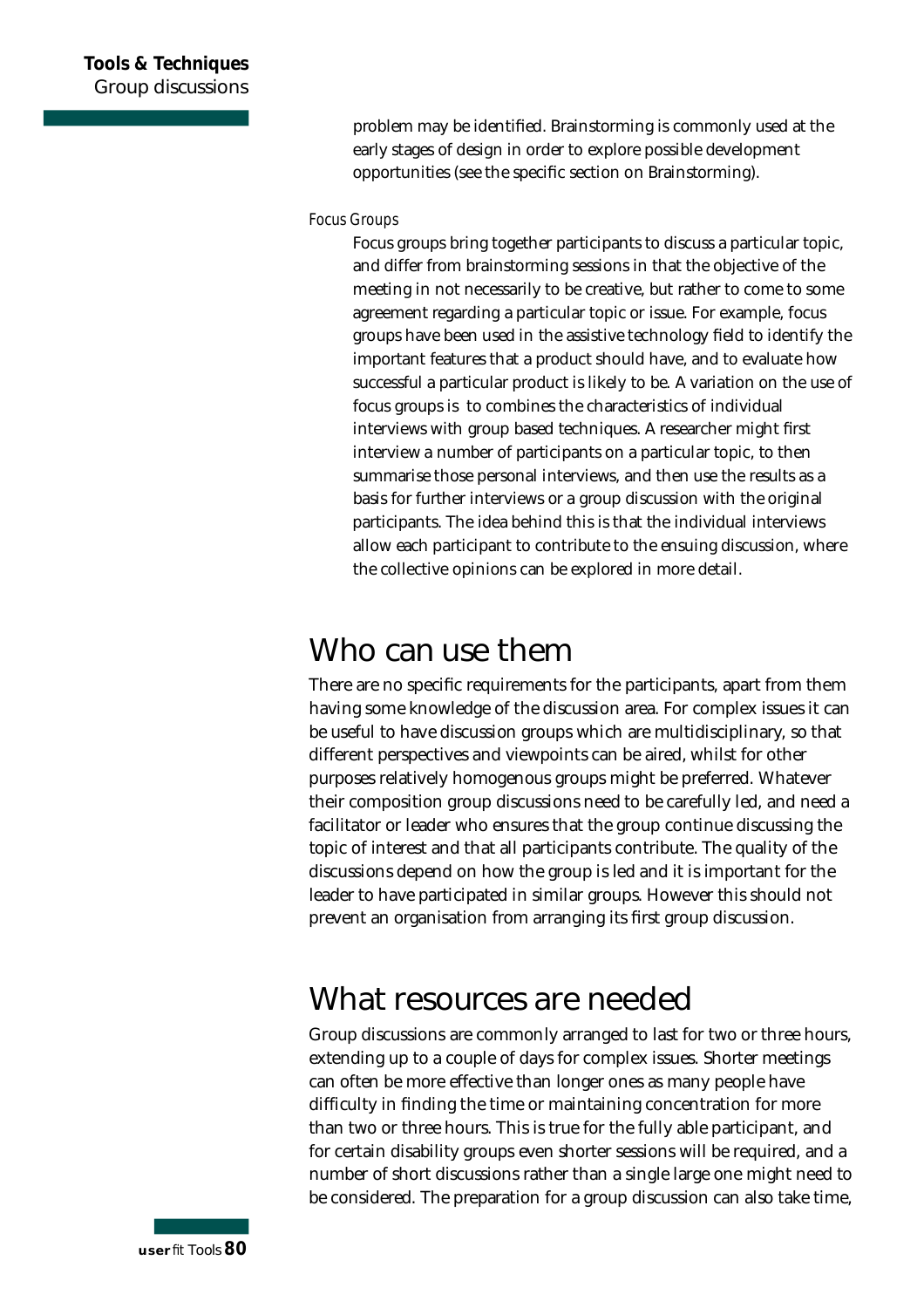p roblem may be identified. Brainstorming is commonly used at the early stages of design in order to explore possible development opportunities (see the specific section on Brainstorming).

#### **Focus Groups**

Focus groups bring together participants to discuss a particular topic, and differ from brainstorming sessions in that the objective of the meeting in not necessarily to be creative, but rather to come to some agreement regarding a particular topic or issue. For example, focus g roups have been used in the assistive technology field to identify the important features that a product should have, and to evaluate how successful a particular product is likely to be. A variation on the use of focus groups is to combines the characteristics of individual interviews with group based techniques. A researcher might first interview a number of participants on a particular topic, to then summarise those personal interviews, and then use the results as a basis for further interviews or a group discussion with the original participants. The idea behind this is that the individual interviews allow each participant to contribute to the ensuing discussion, where the collective opinions can be explored in more detail.

### **Who can use them**

There are no specific requirements for the participants, apart from them having some knowledge of the discussion area. For complex issues it can be useful to have discussion groups which are multidisciplinary, so that different perspectives and viewpoints can be aired, whilst for other purposes relatively homogenous groups might be preferred. Whatever their composition group discussions need to be carefully led, and need a facilitator or leader who ensures that the group continue discussing the topic of interest and that all participants contribute. The quality of the discussions depend on how the group is led and it is important for the leader to have participated in similar groups. However this should not prevent an organisation from arranging its first group discussion.

### **What resources are needed**

Group discussions are commonly arranged to last for two or three hours, extending up to a couple of days for complex issues. Shorter meetings can often be more effective than longer ones as many people have difficulty in finding the time or maintaining concentration for more than two or three hours. This is true for the fully able participant, and for certain disability groups even shorter sessions will be required, and a number of short discussions rather than a single large one might need to be considered. The preparation for a group discussion can also take time,

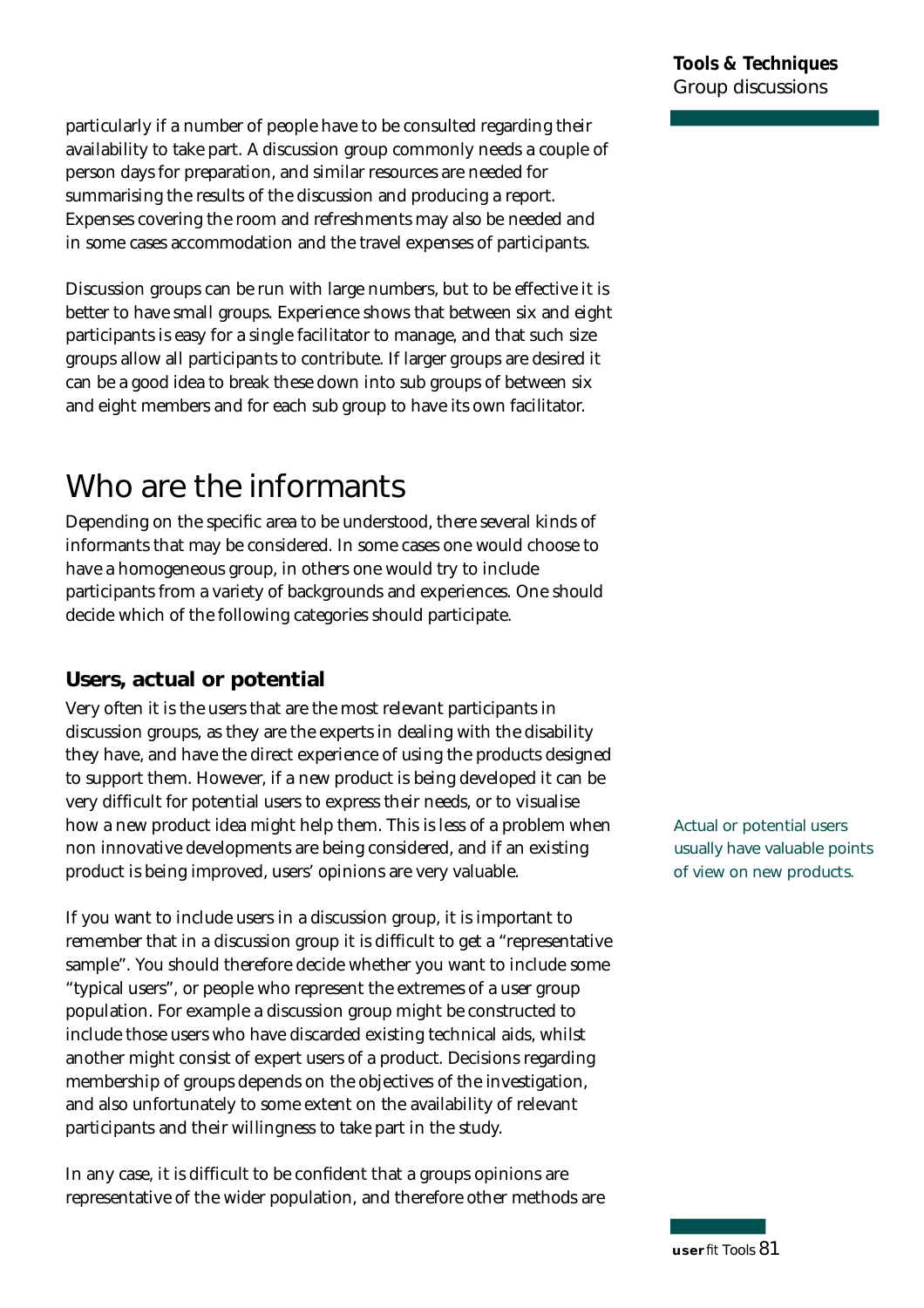particularly if a number of people have to be consulted regarding their availability to take part. A discussion group commonly needs a couple of person days for preparation, and similar resources are needed for summarising the results of the discussion and producing a report. Expenses covering the room and refreshments may also be needed and in some cases accommodation and the travel expenses of participants.

Discussion groups can be run with large numbers, but to be effective it is better to have small groups. Experience shows that between six and eight participants is easy for a single facilitator to manage, and that such size g roups allow all participants to contribute. If larger groups are desired it can be a good idea to break these down into sub groups of between six and eight members and for each sub group to have its own facilitator.

### **Who are the informants**

Depending on the specific area to be understood, there several kinds of informants that may be considered. In some cases one would choose to have a homogeneous group, in others one would try to include participants from a variety of backgrounds and experiences. One should decide which of the following categories should participate.

#### **Users, actual or potential**

Very often it is the users that are the most relevant participants in discussion groups, as they are the experts in dealing with the disability they have, and have the direct experience of using the products designed to support them. However, if a new product is being developed it can be very difficult for potential users to express their needs, or to visualise how a new product idea might help them. This is less of a problem when non innovative developments are being considered, and if an existing product is being improved, users' opinions are very valuable.

If you want to include users in a discussion group, it is important to remember that in a discussion group it is difficult to get a "representative sample". You should therefore decide whether you want to include some "typical users", or people who represent the extremes of a user group population. For example a discussion group might be constructed to include those users who have discarded existing technical aids, whilst another might consist of expert users of a product. Decisions regarding membership of groups depends on the objectives of the investigation, and also unfortunately to some extent on the availability of relevant participants and their willingness to take part in the study.

In any case, it is difficult to be confident that a groups opinions are representative of the wider population, and therefore other methods are **Actual or potential users usually have valuable points of view on new products.**

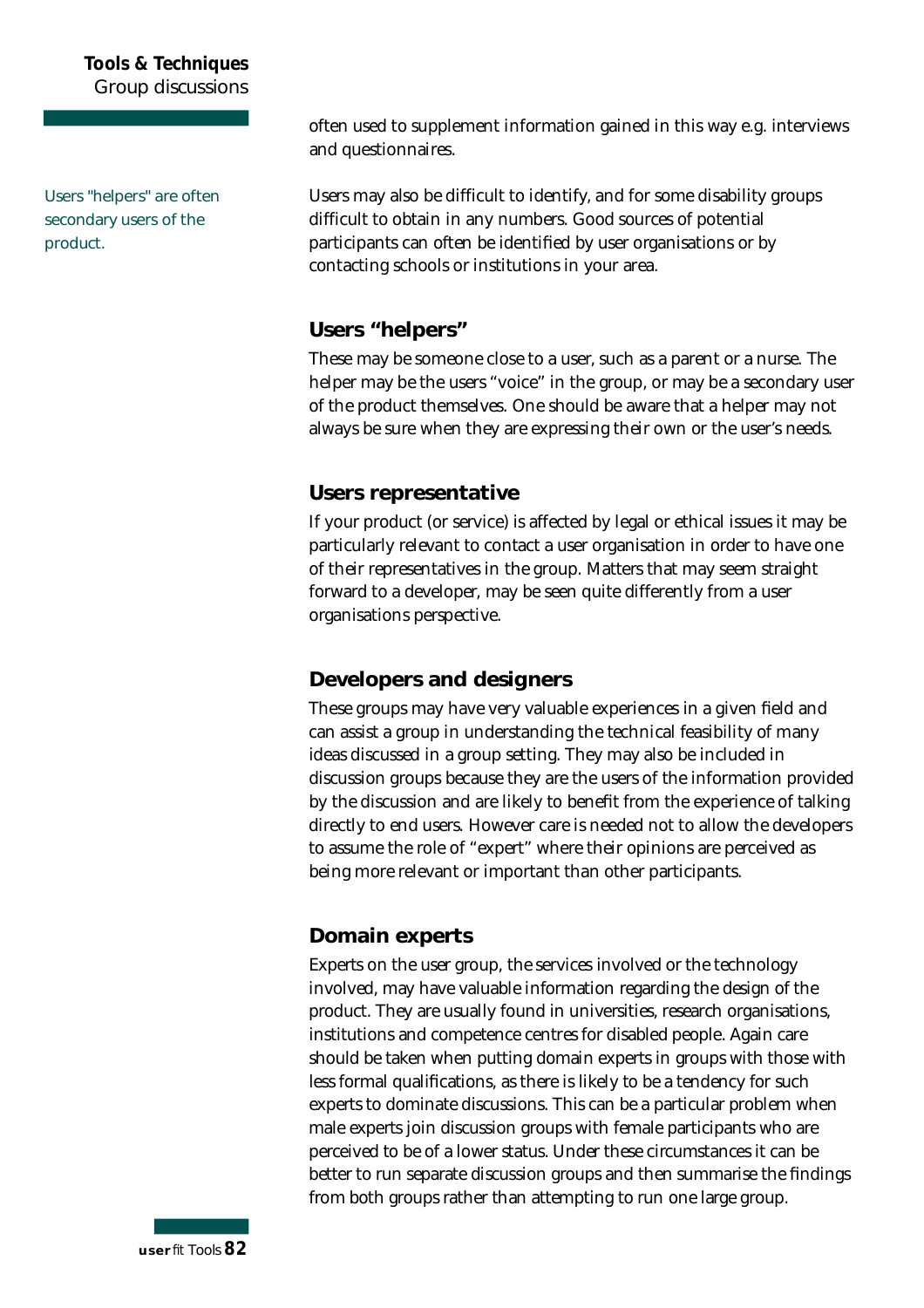#### **Tools & Techniques G roup discussions**

**Users "helpers" are often secondary users of the** product.

often used to supplement information gained in this way e.g. interviews and questionnaires.

Users may also be difficult to identify, and for some disability groups difficult to obtain in any numbers. Good sources of potential participants can often be identified by user organisations or by contacting schools or institutions in your area.

#### **Users "helpers"**

These may be someone close to a user, such as a parent or a nurse. The helper may be the users "voice" in the group, or may be a secondary user of the product themselves. One should be aware that a helper may not always be sure when they are expressing their own or the user's needs.

#### **Users representative**

If your product (or service) is affected by legal or ethical issues it may be particularly relevant to contact a user organisation in order to have one of their representatives in the group. Matters that may seem straight forward to a developer, may be seen quite differently from a user organisations perspective.

#### **Developers and designers**

These groups may have very valuable experiences in a given field and can assist a group in understanding the technical feasibility of many ideas discussed in a group setting. They may also be included in discussion groups because they are the users of the information provided by the discussion and are likely to benefit from the experience of talking directly to end users. However care is needed not to allow the developers to assume the role of "expert" where their opinions are perceived as being more relevant or important than other participants.

#### **Domain experts**

Experts on the user group, the services involved or the technology involved, may have valuable information regarding the design of the product. They are usually found in universities, research organisations, institutions and competence centres for disabled people. Again care should be taken when putting domain experts in groups with those with less formal qualifications, as there is likely to be a tendency for such experts to dominate discussions. This can be a particular problem when male experts join discussion groups with female participants who are perceived to be of a lower status. Under these circumstances it can be better to run separate discussion groups and then summarise the findings from both groups rather than attempting to run one large group.

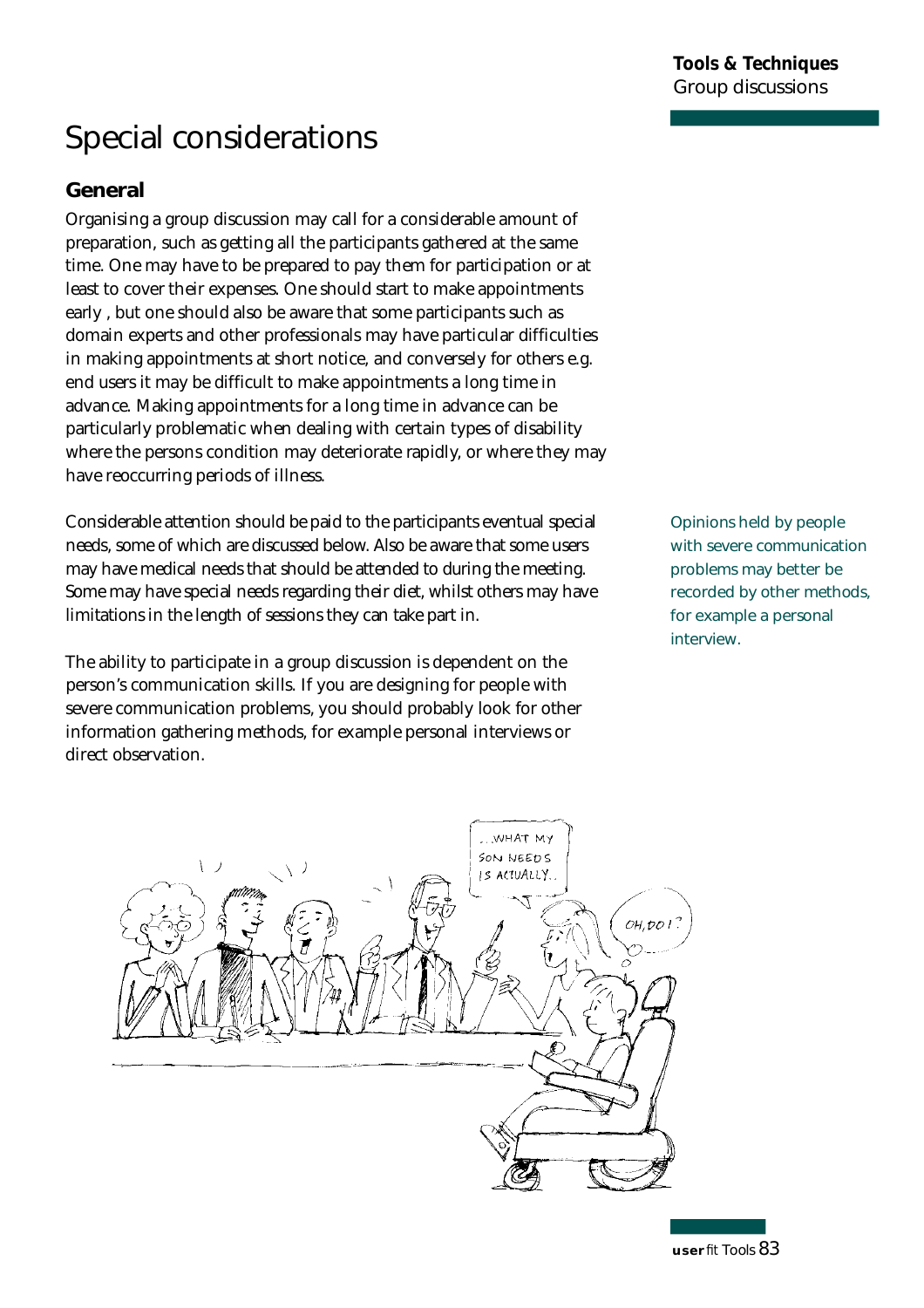## **Special considerations**

#### **General**

Organising a group discussion may call for a considerable amount of p reparation, such as getting all the participants gathered at the same time. One may have to be prepared to pay them for participation or at least to cover their expenses. One should start to make appointments early , but one should also be aware that some participants such as domain experts and other professionals may have particular difficulties in making appointments at short notice, and conversely for others e.g. end users it may be difficult to make appointments a long time in advance. Making appointments for a long time in advance can be particularly problematic when dealing with certain types of disability where the persons condition may deteriorate rapidly, or where they may have reoccurring periods of illness.

Considerable attention should be paid to the participants eventual special needs, some of which are discussed below. Also be aware that some users may have medical needs that should be attended to during the meeting. Some may have special needs regarding their diet, whilst others may have limitations in the length of sessions they can take part in.

The ability to participate in a group discussion is dependent on the person's communication skills. If you are designing for people with severe communication problems, you should probably look for other information gathering methods, for example personal interviews or direct observation.

**Opinions held by people with severe communication problems may better be recorded by other methods, for example a personal interview.** 

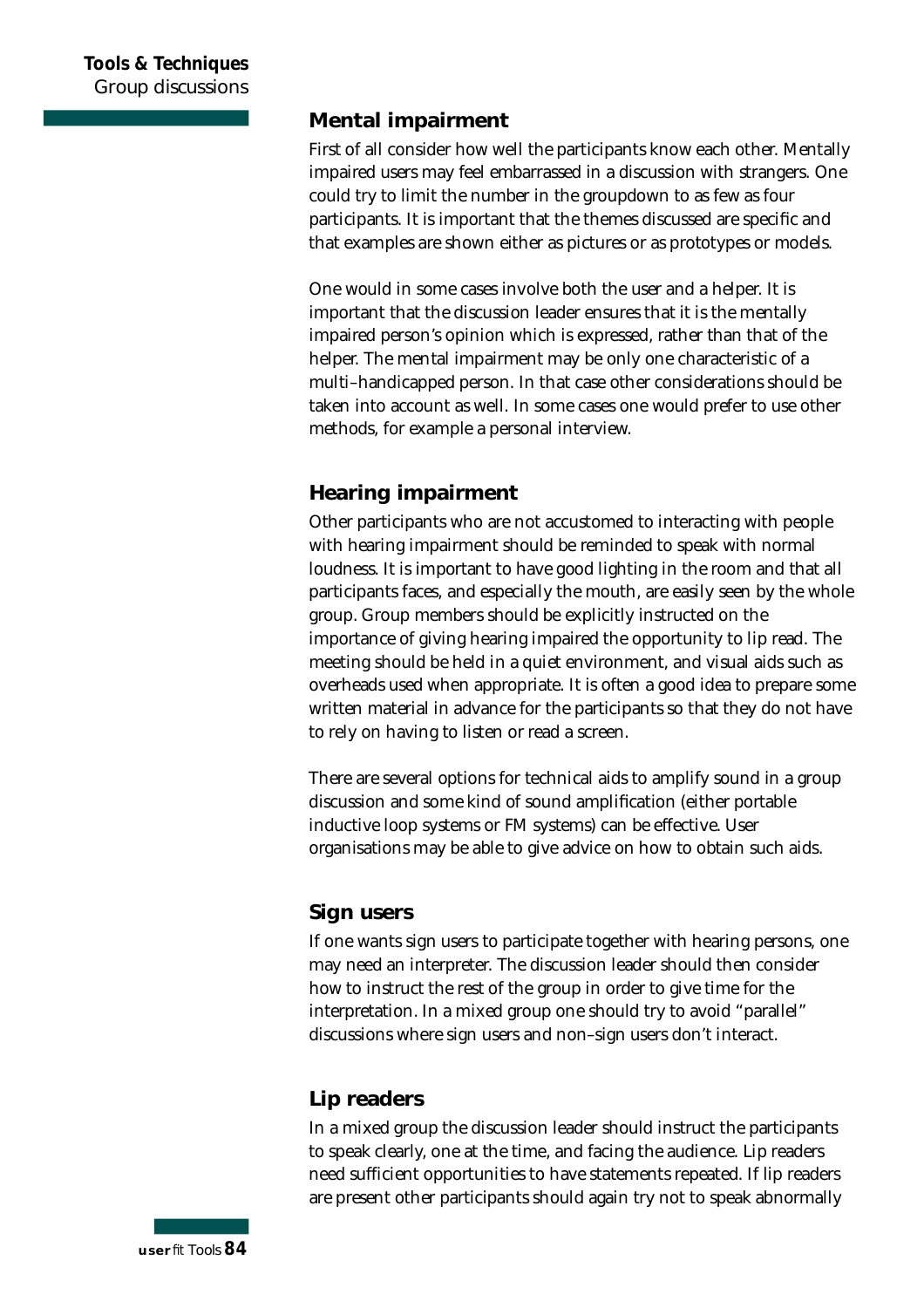#### **Mental impairment**

First of all consider how well the participants know each other. Mentally impaired users may feel embarrassed in a discussion with strangers. One could try to limit the number in the groupdown to as few as four participants. It is important that the themes discussed are specific and that examples are shown either as pictures or as prototypes or models.

One would in some cases involve both the user and a helper. It is important that the discussion leader ensures that it is the mentally impaired person's opinion which is expressed, rather than that of the helper. The mental impairment may be only one characteristic of a multi–handicapped person. In that case other considerations should be taken into account as well. In some cases one would prefer to use other methods, for example a personal interview.

#### **Hearing impairment**

Other participants who are not accustomed to interacting with people with hearing impairment should be reminded to speak with normal loudness. It is important to have good lighting in the room and that all participants faces, and especially the mouth, are easily seen by the whole group. Group members should be explicitly instructed on the importance of giving hearing impaired the opportunity to lip read. The meeting should be held in a quiet environment, and visual aids such as overheads used when appropriate. It is often a good idea to prepare some written material in advance for the participants so that they do not have to rely on having to listen or read a screen.

There are several options for technical aids to amplify sound in a group discussion and some kind of sound amplification (either portable inductive loop systems or FM systems) can be effective. User organisations may be able to give advice on how to obtain such aids.

#### **Sign users**

If one wants sign users to participate together with hearing persons, one may need an interpreter. The discussion leader should then consider how to instruct the rest of the group in order to give time for the interpretation. In a mixed group one should try to avoid "parallel" discussions where sign users and non–sign users don't interact.

#### **Lip readers**

In a mixed group the discussion leader should instruct the participants to speak clearly, one at the time, and facing the audience. Lip readers need sufficient opportunities to have statements repeated. If lip readers are present other participants should again try not to speak abnormally

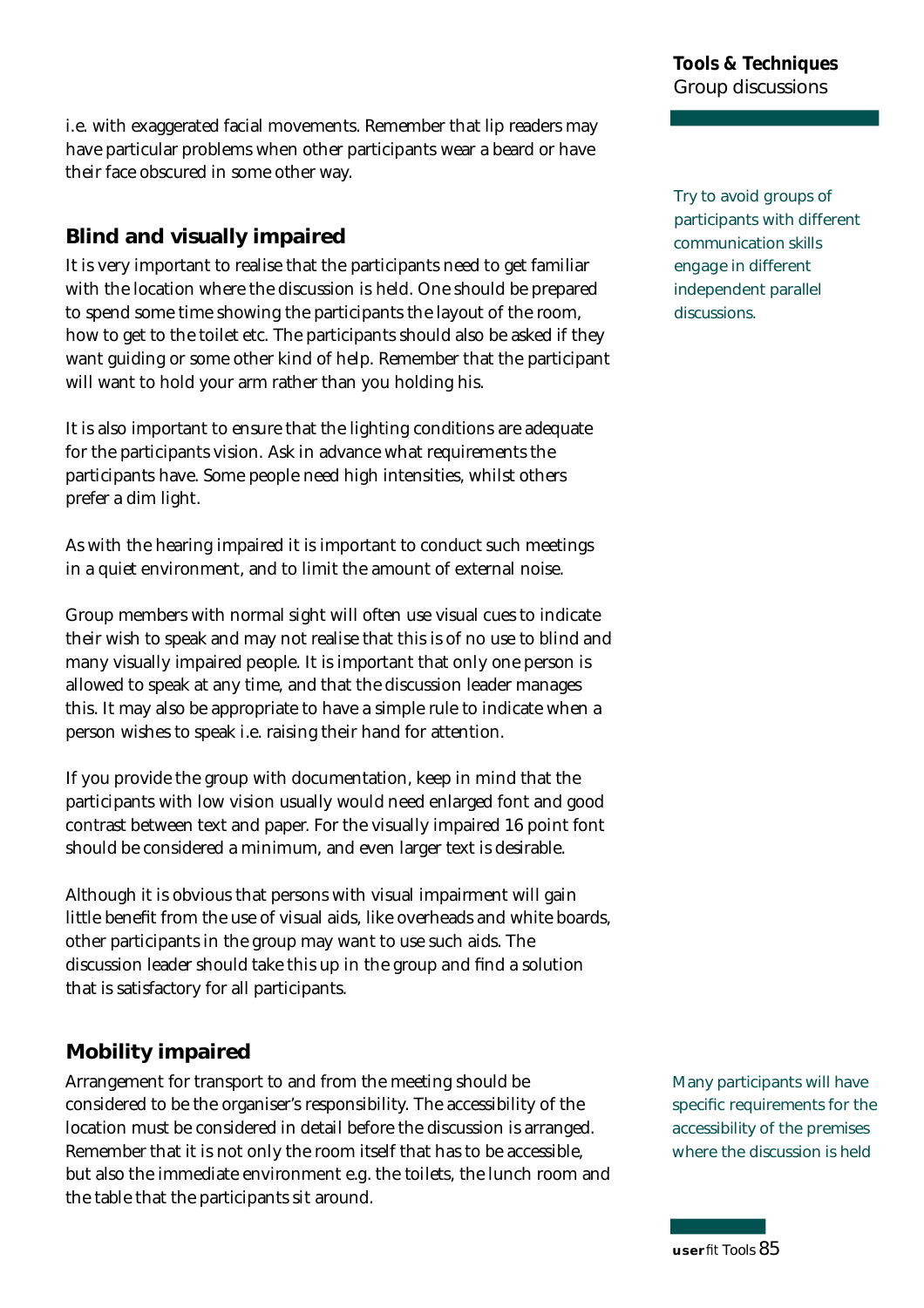i.e. with exaggerated facial movements. Remember that lip readers may have particular problems when other participants wear a beard or have their face obscured in some other way.

### **Blind and visually impaired**

It is very important to realise that the participants need to get familiar with the location where the discussion is held. One should be prepared to spend some time showing the participants the layout of the room, how to get to the toilet etc. The participants should also be asked if they want guiding or some other kind of help. Remember that the participant will want to hold your arm rather than you holding his.

It is also important to ensure that the lighting conditions are adequate for the participants vision. Ask in advance what requirements the participants have. Some people need high intensities, whilst others p refer a dim light.

As with the hearing impaired it is important to conduct such meetings in a quiet environment, and to limit the amount of external noise.

Group members with normal sight will often use visual cues to indicate their wish to speak and may not realise that this is of no use to blind and many visually impaired people. It is important that only one person is allowed to speak at any time, and that the discussion leader manages this. It may also be appropriate to have a simple rule to indicate when a person wishes to speak i.e. raising their hand for attention.

If you provide the group with documentation, keep in mind that the participants with low vision usually would need enlarged font and good contrast between text and paper. For the visually impaired 16 point font should be considered a minimum, and even larger text is desirable.

Although it is obvious that persons with visual impairment will gain little benefit from the use of visual aids, like overheads and white boards, other participants in the group may want to use such aids. The discussion leader should take this up in the group and find a solution that is satisfactory for all participants.

#### **Mobility impaired**

Arrangement for transport to and from the meeting should be considered to be the organiser's responsibility. The accessibility of the location must be considered in detail before the discussion is arranged. Remember that it is not only the room itself that has to be accessible, but also the immediate environment e.g. the toilets, the lunch room and the table that the participants sit around.

**Try to avoid groups of participants with different communication skills engage in different independent parallel** discussions.

**Many participants will have** specific requirements for the **accessibility of the premises where the discussion is held**

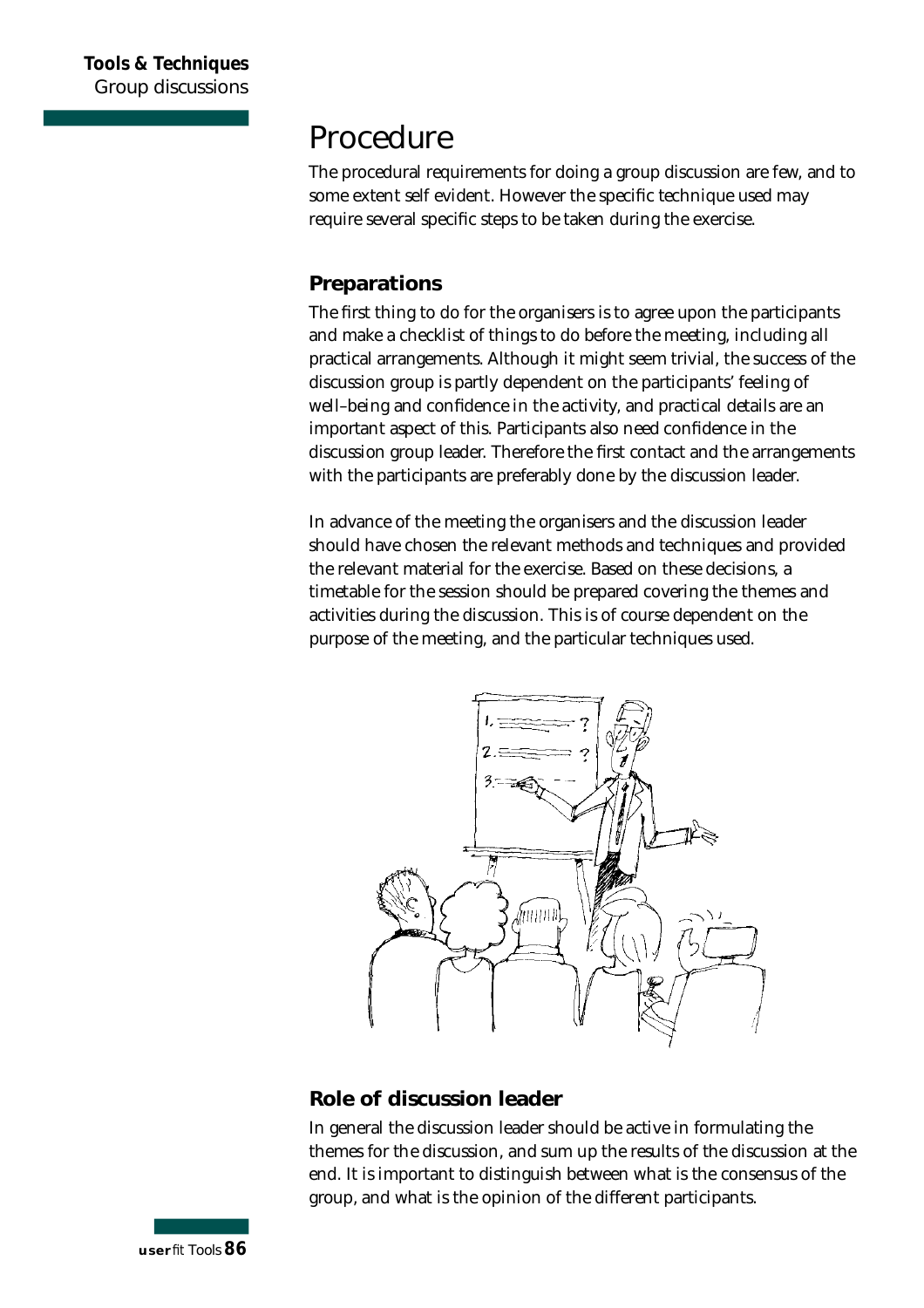### **Procedure**

The procedural requirements for doing a group discussion are few, and to some extent self evident. However the specific technique used may require several specific steps to be taken during the exercise.

#### **Preparations**

The first thing to do for the organisers is to agree upon the participants and make a checklist of things to do before the meeting, including all practical arrangements. Although it might seem trivial, the success of the discussion group is partly dependent on the participants' feeling of well–being and confidence in the activity, and practical details are an important aspect of this. Participants also need confidence in the discussion group leader. Therefore the first contact and the arrangements with the participants are preferably done by the discussion leader.

In advance of the meeting the organisers and the discussion leader should have chosen the relevant methods and techniques and provided the relevant material for the exercise. Based on these decisions, a timetable for the session should be prepared covering the themes and activities during the discussion. This is of course dependent on the purpose of the meeting, and the particular techniques used.



#### **Role of discussion leader**

In general the discussion leader should be active in formulating the themes for the discussion, and sum up the results of the discussion at the end. It is important to distinguish between what is the consensus of the group, and what is the opinion of the different participants.

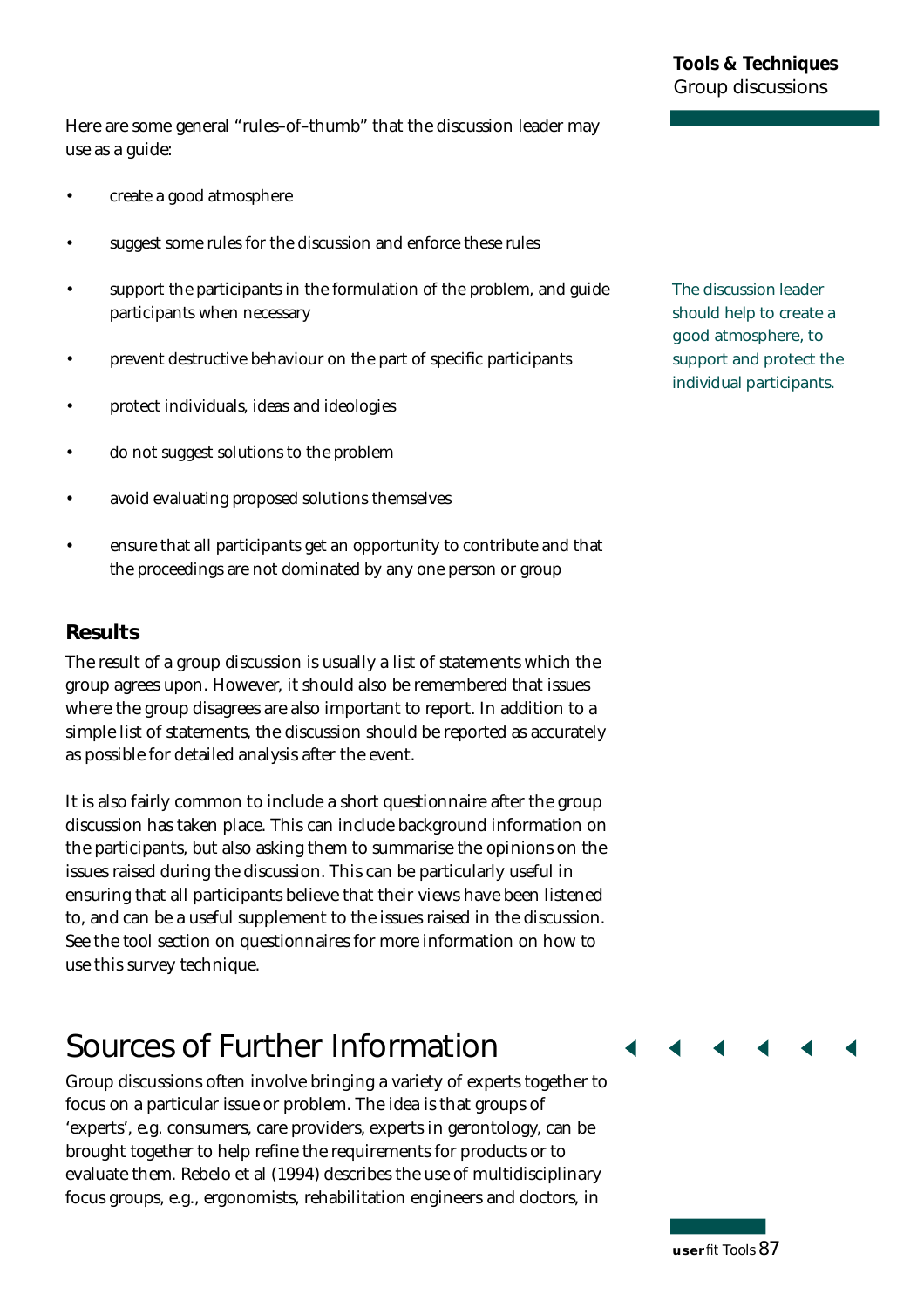Here are some general "rules-of-thumb" that the discussion leader may use as a guide:

- create a good atmosphere
- suggest some rules for the discussion and enforce these rules
- support the participants in the formulation of the problem, and guide participants when necessary
- prevent destructive behaviour on the part of specific participants
- p rotect individuals, ideas and ideologies
- do not suggest solutions to the problem
- avoid evaluating proposed solutions themselves
- ensure that all participants get an opportunity to contribute and that the proceedings are not dominated by any one person or group

#### **Results**

The result of a group discussion is usually a list of statements which the group agrees upon. However, it should also be remembered that issues where the group disagrees are also important to report. In addition to a simple list of statements, the discussion should be reported as accurately as possible for detailed analysis after the event.

It is also fairly common to include a short questionnaire after the group discussion has taken place. This can include background information on the participants, but also asking them to summarise the opinions on the issues raised during the discussion. This can be particularly useful in ensuring that all participants believe that their views have been listened to, and can be a useful supplement to the issues raised in the discussion. See the tool section on questionnaires for more information on how to use this survey technique.

### **Sources of Further Information**

Group discussions often involve bringing a variety of experts together to focus on a particular issue or problem. The idea is that groups of ' experts', e.g. consumers, care providers, experts in gerontology, can be brought together to help refine the requirements for products or to evaluate them. Rebelo et al (1994) describes the use of multidisciplinary focus groups, e.g., ergonomists, rehabilitation engineers and doctors, in

**The discussion leader should help to create a good atmosphere, to support and protect the individual participants.**

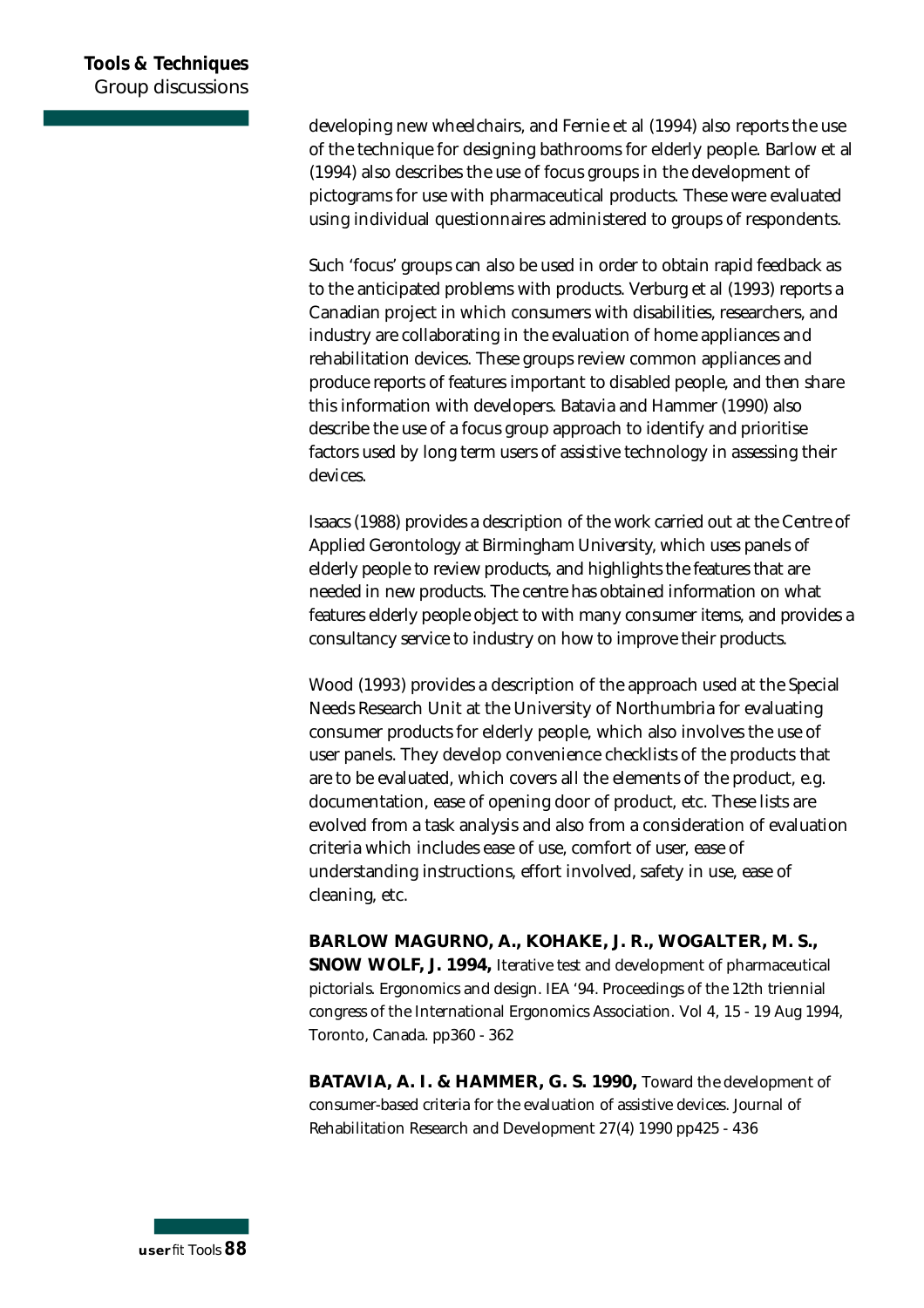developing new wheelchairs, and Fernie et al (1994) also reports the use of the technique for designing bathrooms for elderly people. Barlow et al (1994) also describes the use of focus groups in the development of pictograms for use with pharmaceutical products. These were evaluated using individual questionnaires administered to groups of respondents.

Such 'focus' groups can also be used in order to obtain rapid feedback as to the anticipated problems with products. Verburg et al (1993) reports a Canadian project in which consumers with disabilities, researchers, and industry are collaborating in the evaluation of home appliances and rehabilitation devices. These groups review common appliances and produce reports of features important to disabled people, and then share this information with developers. Batavia and Hammer (1990) also describe the use of a focus group approach to identify and prioritise factors used by long term users of assistive technology in assessing their devices.

Isaacs (1988) provides a description of the work carried out at the Centre of Applied Gerontology at Birmingham University, which uses panels of elderly people to review products, and highlights the features that are needed in new products. The centre has obtained information on what features elderly people object to with many consumer items, and provides a consultancy service to industry on how to improve their products.

Wood (1993) provides a description of the approach used at the Special Needs Research Unit at the University of Northumbria for evaluating consumer products for elderly people, which also involves the use of user panels. They develop convenience checklists of the products that are to be evaluated, which covers all the elements of the product, e.g. documentation, ease of opening door of product, etc. These lists are evolved from a task analysis and also from a consideration of evaluation criteria which includes ease of use, comfort of user, ease of understanding instructions, effort involved, safety in use, ease of cleaning, etc.

**BARLOW MAGURNO, A., KOHAKE, J. R., WOGALTER, M. S., SNOW WOLF, J. 1994,** Iterative test and development of pharmaceutical pictorials. Ergonomics and design. IEA '94. Proceedings of the 12th triennial congress of the International Ergonomics Association. Vol 4, 15 - 19 Aug 1994, Toronto, Canada. pp360 - 362

**B ATAVIA, A. I. & HAMMER, G. S. 1990,** Toward the development of consumer-based criteria for the evaluation of assistive devices. Journal of Rehabilitation Research and Development 27(4) 1990 pp425 - 436

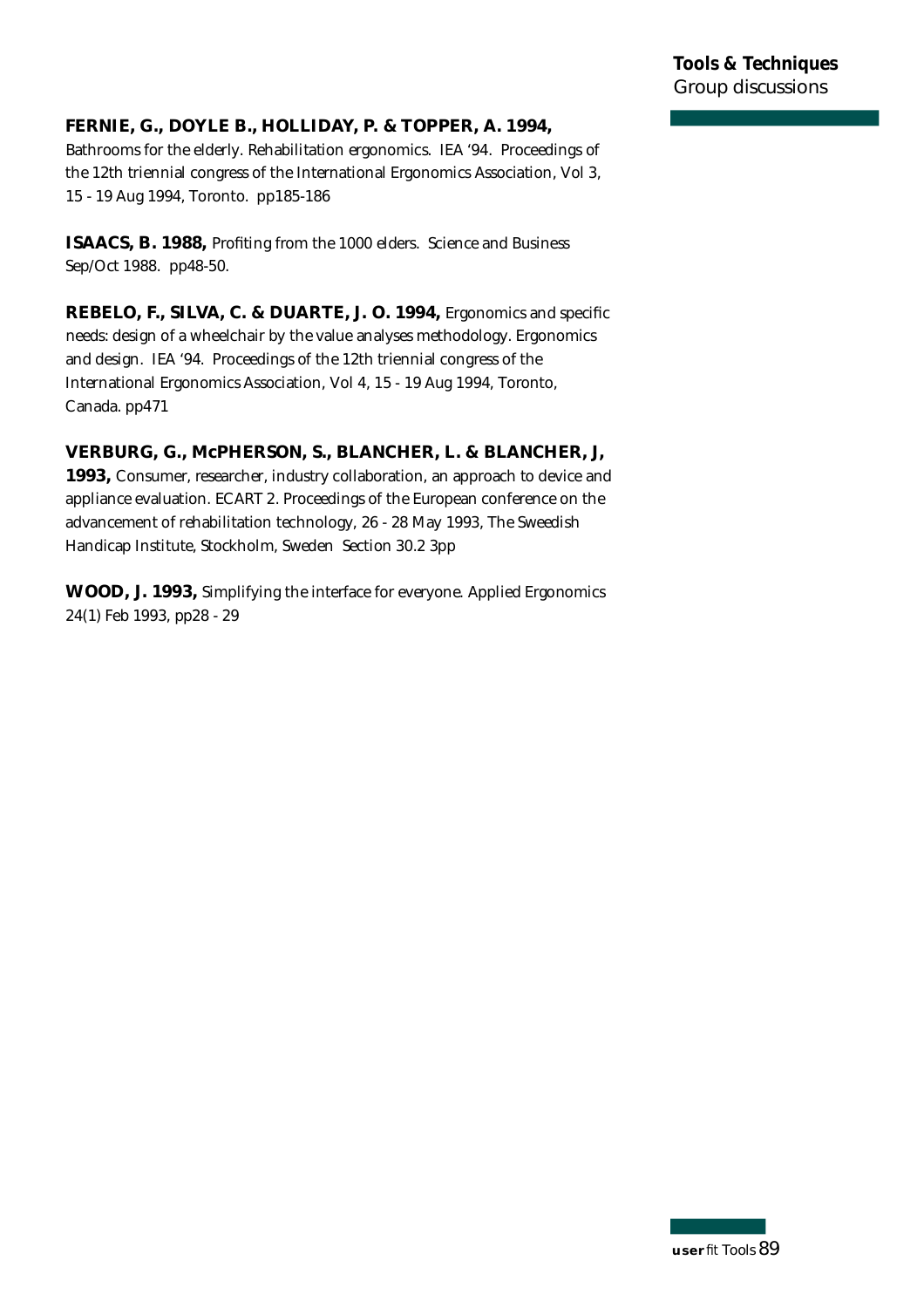#### **FERNIE, G., DOYLE B., HOLLIDAY, P. & TOPPER, A. 1994,**

Bathrooms for the elderly. Rehabilitation ergonomics. IEA '94. Proceedings of the 12th triennial congress of the International Ergonomics Association, Vol 3, 15 - 19 Aug 1994, Toronto. pp185-186

**ISAACS, B. 1988, Profiting from the 1000 elders. Science and Business** Sep/Oct 1988. pp48-50.

**REBELO, F., SILVA, C. & DUARTE, J. O. 1994,** Ergonomics and specific needs: design of a wheelchair by the value analyses methodology. Ergonomics and design. IEA '94. Proceedings of the 12th triennial congress of the International Ergonomics Association, Vol 4, 15 - 19 Aug 1994, Toronto, Canada. pp471

#### **VERBURG, G., McPHERSON, S., BLANCHER, L. & BLANCHER, J,**

**1993,** Consumer, researcher, industry collaboration, an approach to device and appliance evaluation. ECART 2. Proceedings of the European conference on the advancement of rehabilitation technology, 26 - 28 May 1993, The Sweedish Handicap Institute, Stockholm, Sweden Section 30.2 3pp

**WOOD, J. 1993,** Simplifying the interface for everyone. Applied Ergonomics 24(1) Feb 1993, pp28 - 29